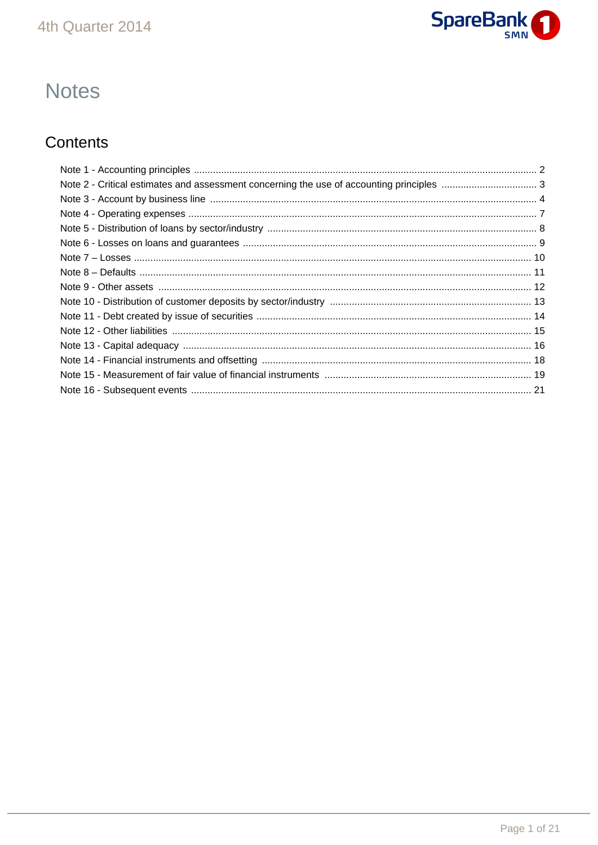

# **Notes**

## Contents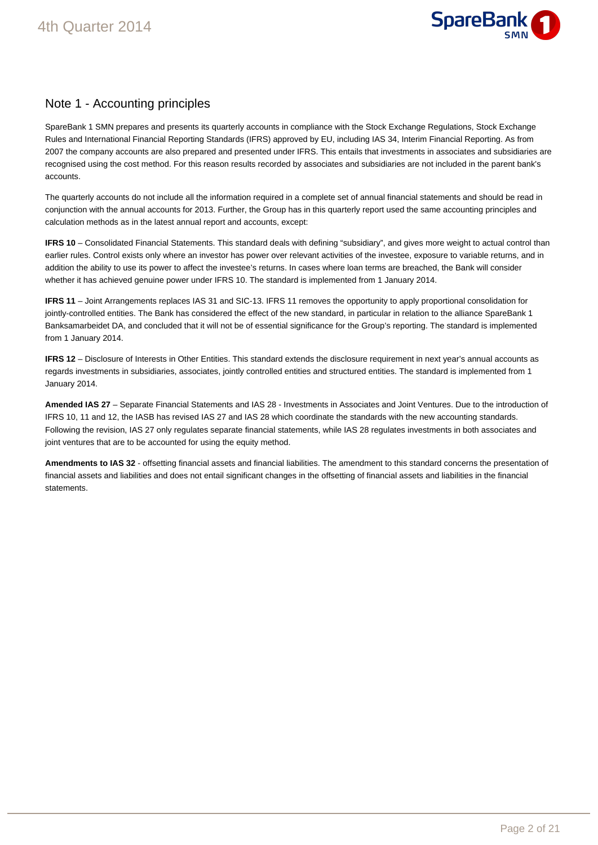

## Note 1 - Accounting principles

SpareBank 1 SMN prepares and presents its quarterly accounts in compliance with the Stock Exchange Regulations, Stock Exchange Rules and International Financial Reporting Standards (IFRS) approved by EU, including IAS 34, Interim Financial Reporting. As from 2007 the company accounts are also prepared and presented under IFRS. This entails that investments in associates and subsidiaries are recognised using the cost method. For this reason results recorded by associates and subsidiaries are not included in the parent bank's accounts.

The quarterly accounts do not include all the information required in a complete set of annual financial statements and should be read in conjunction with the annual accounts for 2013. Further, the Group has in this quarterly report used the same accounting principles and calculation methods as in the latest annual report and accounts, except:

**IFRS 10** – Consolidated Financial Statements. This standard deals with defining "subsidiary", and gives more weight to actual control than earlier rules. Control exists only where an investor has power over relevant activities of the investee, exposure to variable returns, and in addition the ability to use its power to affect the investee's returns. In cases where loan terms are breached, the Bank will consider whether it has achieved genuine power under IFRS 10. The standard is implemented from 1 January 2014.

**IFRS 11** – Joint Arrangements replaces IAS 31 and SIC-13. IFRS 11 removes the opportunity to apply proportional consolidation for jointly-controlled entities. The Bank has considered the effect of the new standard, in particular in relation to the alliance SpareBank 1 Banksamarbeidet DA, and concluded that it will not be of essential significance for the Group's reporting. The standard is implemented from 1 January 2014.

**IFRS 12** – Disclosure of Interests in Other Entities. This standard extends the disclosure requirement in next year's annual accounts as regards investments in subsidiaries, associates, jointly controlled entities and structured entities. The standard is implemented from 1 January 2014.

**Amended IAS 27** – Separate Financial Statements and IAS 28 - Investments in Associates and Joint Ventures. Due to the introduction of IFRS 10, 11 and 12, the IASB has revised IAS 27 and IAS 28 which coordinate the standards with the new accounting standards. Following the revision, IAS 27 only regulates separate financial statements, while IAS 28 regulates investments in both associates and joint ventures that are to be accounted for using the equity method.

**Amendments to IAS 32** - offsetting financial assets and financial liabilities. The amendment to this standard concerns the presentation of financial assets and liabilities and does not entail significant changes in the offsetting of financial assets and liabilities in the financial statements.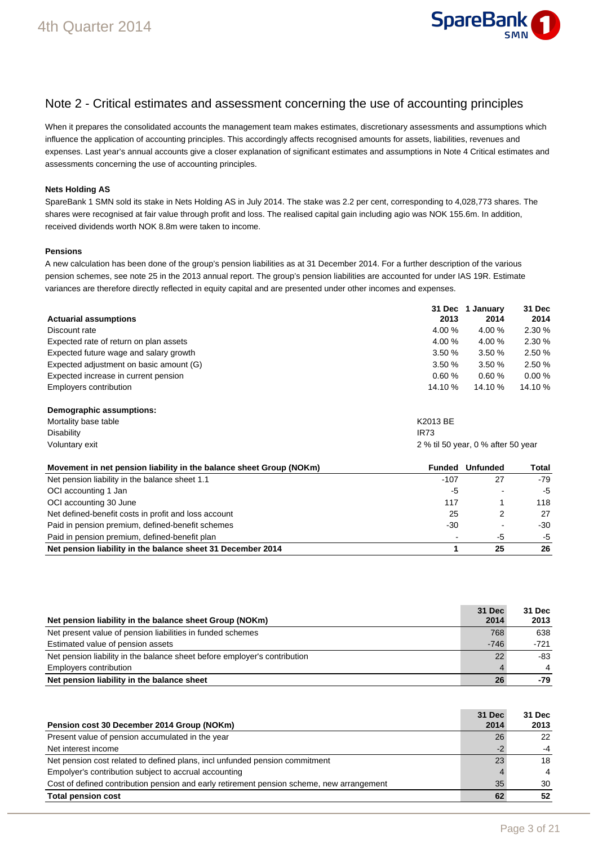

### Note 2 - Critical estimates and assessment concerning the use of accounting principles

When it prepares the consolidated accounts the management team makes estimates, discretionary assessments and assumptions which influence the application of accounting principles. This accordingly affects recognised amounts for assets, liabilities, revenues and expenses. Last year's annual accounts give a closer explanation of significant estimates and assumptions in Note 4 Critical estimates and assessments concerning the use of accounting principles.

#### **Nets Holding AS**

SpareBank 1 SMN sold its stake in Nets Holding AS in July 2014. The stake was 2.2 per cent, corresponding to 4,028,773 shares. The shares were recognised at fair value through profit and loss. The realised capital gain including agio was NOK 155.6m. In addition, received dividends worth NOK 8.8m were taken to income.

#### **Pensions**

A new calculation has been done of the group's pension liabilities as at 31 December 2014. For a further description of the various pension schemes, see note 25 in the 2013 annual report. The group's pension liabilities are accounted for under IAS 19R. Estimate variances are therefore directly reflected in equity capital and are presented under other incomes and expenses.

|                                         | 31 Dec  | 1 Januarv | 31 Dec    |
|-----------------------------------------|---------|-----------|-----------|
| <b>Actuarial assumptions</b>            | 2013    | 2014      | 2014      |
| Discount rate                           | 4.00%   | 4.00 %    | 2.30%     |
| Expected rate of return on plan assets  | 4.00%   | 4.00 %    | 2.30%     |
| Expected future wage and salary growth  | 3.50%   | 3.50%     | 2.50%     |
| Expected adjustment on basic amount (G) | 3.50%   | 3.50%     | 2.50%     |
| Expected increase in current pension    | 0.60%   | 0.60%     | $0.00 \%$ |
| Employers contribution                  | 14.10 % | 14.10 %   | 14.10 %   |

| Demographic assumptions: |                                    |
|--------------------------|------------------------------------|
| Mortality base table     | K2013 BE                           |
| Disability               | <b>IR73</b>                        |
| Voluntary exit           | 2 % til 50 year, 0 % after 50 year |

| Movement in net pension liability in the balance sheet Group (NOKm) | Funded                   | Unfunded | Total |
|---------------------------------------------------------------------|--------------------------|----------|-------|
| Net pension liability in the balance sheet 1.1                      | $-107$                   | 27       | $-79$ |
| OCI accounting 1 Jan                                                | -5                       |          | -5    |
| OCI accounting 30 June                                              | 117                      |          | 118   |
| Net defined-benefit costs in profit and loss account                | 25                       |          | 27    |
| Paid in pension premium, defined-benefit schemes                    | -30                      |          | $-30$ |
| Paid in pension premium, defined-benefit plan                       | $\overline{\phantom{a}}$ | -5       | -5    |
| Net pension liability in the balance sheet 31 December 2014         |                          | 25       | 26    |

| Net pension liability in the balance sheet Group (NOKm)                   | 31 Dec<br>2014 | 31 Dec<br>2013 |
|---------------------------------------------------------------------------|----------------|----------------|
| Net present value of pension liabilities in funded schemes                | 768            | 638            |
| Estimated value of pension assets                                         | $-746$         | $-721$         |
| Net pension liability in the balance sheet before employer's contribution | 22             | -83            |
| Employers contribution                                                    |                | $\overline{4}$ |
| Net pension liability in the balance sheet                                | 26             | -79            |

| Pension cost 30 December 2014 Group (NOKm)                                                | 31 Dec<br>2014 | 31 Dec<br>2013 |
|-------------------------------------------------------------------------------------------|----------------|----------------|
| Present value of pension accumulated in the year                                          | 26             | 22             |
| Net interest income                                                                       |                | $-4$           |
| Net pension cost related to defined plans, incl unfunded pension commitment               | 23             | 18             |
| Empolyer's contribution subject to accrual accounting                                     |                | $\overline{4}$ |
| Cost of defined contribution pension and early retirement pension scheme, new arrangement | 35             | 30             |
| <b>Total pension cost</b>                                                                 | 62             | 52             |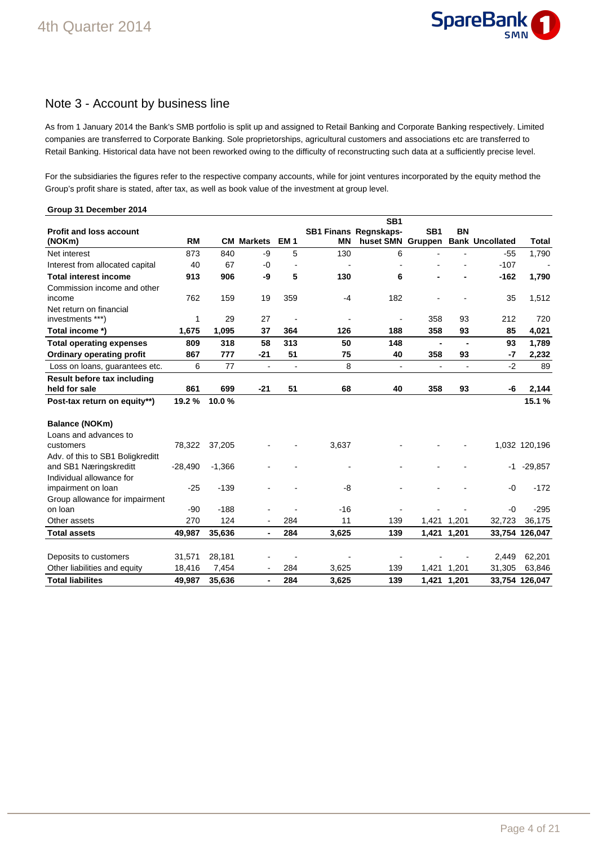

### Note 3 - Account by business line

As from 1 January 2014 the Bank's SMB portfolio is split up and assigned to Retail Banking and Corporate Banking respectively. Limited companies are transferred to Corporate Banking. Sole proprietorships, agricultural customers and associations etc are transferred to Retail Banking. Historical data have not been reworked owing to the difficulty of reconstructing such data at a sufficiently precise level.

For the subsidiaries the figures refer to the respective company accounts, while for joint ventures incorporated by the equity method the Group's profit share is stated, after tax, as well as book value of the investment at group level.

| Group 31 December 2014             |           |          |                          |                          |           |                          |                 |                |                                   |                |
|------------------------------------|-----------|----------|--------------------------|--------------------------|-----------|--------------------------|-----------------|----------------|-----------------------------------|----------------|
|                                    |           |          |                          |                          |           | SB <sub>1</sub>          |                 |                |                                   |                |
| <b>Profit and loss account</b>     |           |          |                          |                          |           | SB1 Finans Regnskaps-    | SB <sub>1</sub> | <b>BN</b>      |                                   |                |
| (NOKm)                             | <b>RM</b> |          | <b>CM Markets</b>        | EM <sub>1</sub>          | <b>MN</b> |                          |                 |                | huset SMN Gruppen Bank Uncollated | Total          |
| Net interest                       | 873       | 840      | -9                       | 5                        | 130       | 6                        |                 |                | $-55$                             | 1,790          |
| Interest from allocated capital    | 40        | 67       | $-0$                     |                          |           | $\overline{\phantom{a}}$ |                 |                | $-107$                            |                |
| <b>Total interest income</b>       | 913       | 906      | -9                       | 5                        | 130       | 6                        |                 |                | $-162$                            | 1,790          |
| Commission income and other        |           |          |                          |                          |           |                          |                 |                |                                   |                |
| income                             | 762       | 159      | 19                       | 359                      | $-4$      | 182                      |                 |                | 35                                | 1,512          |
| Net return on financial            |           |          |                          |                          |           |                          |                 |                |                                   |                |
| investments ***)                   | 1         | 29       | 27                       |                          |           | $\blacksquare$           | 358             | 93             | 212                               | 720            |
| Total income *)                    | 1,675     | 1,095    | 37                       | 364                      | 126       | 188                      | 358             | 93             | 85                                | 4,021          |
| <b>Total operating expenses</b>    | 809       | 318      | 58                       | 313                      | 50        | 148                      | $\blacksquare$  | $\blacksquare$ | 93                                | 1,789          |
| <b>Ordinary operating profit</b>   | 867       | 777      | $-21$                    | 51                       | 75        | 40                       | 358             | 93             | $-7$                              | 2,232          |
| Loss on loans, guarantees etc.     | 6         | 77       | $\overline{\phantom{a}}$ | $\overline{\phantom{a}}$ | 8         | $\blacksquare$           |                 | $\overline{a}$ | $-2$                              | 89             |
| <b>Result before tax including</b> |           |          |                          |                          |           |                          |                 |                |                                   |                |
| held for sale                      | 861       | 699      | $-21$                    | 51                       | 68        | 40                       | 358             | 93             | -6                                | 2,144          |
| Post-tax return on equity**)       | 19.2%     | 10.0%    |                          |                          |           |                          |                 |                |                                   | 15.1%          |
| <b>Balance (NOKm)</b>              |           |          |                          |                          |           |                          |                 |                |                                   |                |
| Loans and advances to              |           |          |                          |                          |           |                          |                 |                |                                   |                |
| customers                          | 78,322    | 37,205   |                          |                          | 3,637     |                          |                 |                |                                   | 1,032 120,196  |
| Adv. of this to SB1 Boligkreditt   |           |          |                          |                          |           |                          |                 |                |                                   |                |
| and SB1 Næringskreditt             | $-28,490$ | $-1,366$ |                          |                          |           |                          |                 |                | -1                                | $-29,857$      |
| Individual allowance for           |           |          |                          |                          |           |                          |                 |                |                                   |                |
| impairment on loan                 | $-25$     | $-139$   |                          |                          | -8        |                          |                 |                | -0                                | $-172$         |
| Group allowance for impairment     |           |          |                          |                          |           |                          |                 |                |                                   |                |
| on loan                            | $-90$     | $-188$   |                          |                          | $-16$     |                          |                 |                | $-0$                              | $-295$         |
| Other assets                       | 270       | 124      | $\overline{a}$           | 284                      | 11        | 139                      |                 | 1,421 1,201    | 32,723                            | 36,175         |
| <b>Total assets</b>                | 49,987    | 35,636   | $\blacksquare$           | 284                      | 3,625     | 139                      | 1,421           | 1,201          |                                   | 33,754 126,047 |
|                                    |           |          |                          |                          |           |                          |                 |                |                                   |                |
| Deposits to customers              | 31,571    | 28,181   |                          |                          |           |                          |                 |                | 2.449                             | 62,201         |
| Other liabilities and equity       | 18,416    | 7,454    | $\overline{\phantom{0}}$ | 284                      | 3,625     | 139                      |                 | 1,421 1,201    | 31,305                            | 63,846         |
| <b>Total liabilites</b>            | 49,987    | 35,636   | $\overline{\phantom{0}}$ | 284                      | 3,625     | 139                      |                 | 1,421 1,201    |                                   | 33,754 126,047 |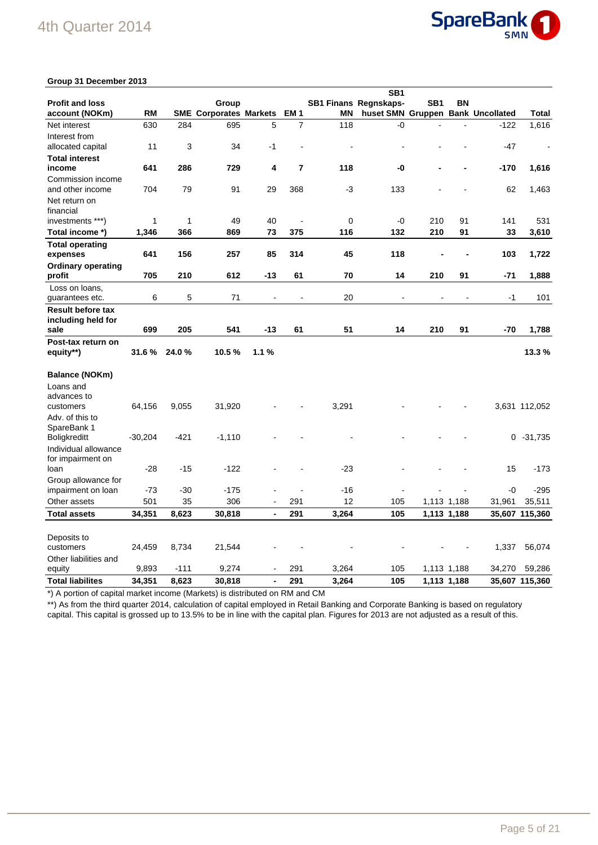## 4th Quarter 2014



### **Group 31 December 2013**

|                                       |           |        |                               |                              |                 |       | SB <sub>1</sub>                   |     |             |        |                |
|---------------------------------------|-----------|--------|-------------------------------|------------------------------|-----------------|-------|-----------------------------------|-----|-------------|--------|----------------|
| <b>Profit and loss</b>                |           |        | Group                         |                              |                 |       | <b>SB1 Finans Regnskaps-</b>      | SB1 | ΒN          |        |                |
| account (NOKm)                        | <b>RM</b> |        | <b>SME Corporates Markets</b> |                              | EM <sub>1</sub> | ΜN    | huset SMN Gruppen Bank Uncollated |     |             |        | <b>Total</b>   |
| Net interest<br>Interest from         | 630       | 284    | 695                           | 5                            | $\overline{7}$  | 118   | -0                                |     |             | $-122$ | 1,616          |
| allocated capital                     | 11        | 3      | 34                            | $-1$                         |                 |       |                                   |     |             | $-47$  | ÷,             |
| <b>Total interest</b>                 |           |        |                               |                              |                 |       |                                   |     |             |        |                |
| income                                | 641       | 286    | 729                           | 4                            | $\overline{7}$  | 118   | -0                                |     |             | $-170$ | 1,616          |
| Commission income<br>and other income | 704       | 79     | 91                            | 29                           | 368             | -3    | 133                               |     |             | 62     | 1,463          |
| Net return on<br>financial            |           |        |                               |                              |                 |       |                                   |     |             |        |                |
| investments ***)                      | 1         | 1      | 49                            | 40                           |                 | 0     | -0                                | 210 | 91          | 141    | 531            |
| Total income *)                       | 1,346     | 366    | 869                           | 73                           | 375             | 116   | 132                               | 210 | 91          | 33     | 3,610          |
| <b>Total operating</b>                |           |        |                               |                              |                 |       |                                   |     |             |        |                |
| expenses                              | 641       | 156    | 257                           | 85                           | 314             | 45    | 118                               |     |             | 103    | 1,722          |
| <b>Ordinary operating</b>             |           |        |                               |                              |                 |       |                                   |     |             |        |                |
| profit                                | 705       | 210    | 612                           | -13                          | 61              | 70    | 14                                | 210 | 91          | $-71$  | 1,888          |
| Loss on loans,<br>guarantees etc.     | 6         | 5      | 71                            |                              |                 | 20    |                                   |     |             | $-1$   | 101            |
| <b>Result before tax</b>              |           |        |                               |                              |                 |       |                                   |     |             |        |                |
| including held for                    |           |        |                               |                              |                 |       |                                   |     |             |        |                |
| sale                                  | 699       | 205    | 541                           | $-13$                        | 61              | 51    | 14                                | 210 | 91          | $-70$  | 1,788          |
| Post-tax return on                    |           |        |                               |                              |                 |       |                                   |     |             |        |                |
| equity**)                             | 31.6%     | 24.0%  | 10.5%                         | 1.1%                         |                 |       |                                   |     |             |        | 13.3%          |
| Balance (NOKm)                        |           |        |                               |                              |                 |       |                                   |     |             |        |                |
| Loans and                             |           |        |                               |                              |                 |       |                                   |     |             |        |                |
| advances to                           |           |        |                               |                              |                 |       |                                   |     |             |        |                |
| customers                             | 64,156    | 9,055  | 31,920                        |                              |                 | 3,291 |                                   |     |             |        | 3,631 112,052  |
| Adv. of this to                       |           |        |                               |                              |                 |       |                                   |     |             |        |                |
| SpareBank 1                           |           |        |                               |                              |                 |       |                                   |     |             |        |                |
| <b>Boligkreditt</b>                   | $-30,204$ | $-421$ | $-1,110$                      |                              |                 |       |                                   |     |             | 0      | $-31,735$      |
| Individual allowance                  |           |        |                               |                              |                 |       |                                   |     |             |        |                |
| for impairment on<br>loan             | $-28$     | $-15$  | $-122$                        |                              |                 | $-23$ |                                   |     |             | 15     | $-173$         |
| Group allowance for                   |           |        |                               |                              |                 |       |                                   |     |             |        |                |
| impairment on loan                    | $-73$     | $-30$  | $-175$                        |                              |                 | $-16$ |                                   |     |             | $-0$   | $-295$         |
| Other assets                          | 501       | 35     | 306                           | $\blacksquare$               | 291             | 12    | 105                               |     | 1,113 1,188 | 31,961 | 35,511         |
| <b>Total assets</b>                   | 34,351    | 8,623  | 30,818                        | $\blacksquare$               | 291             | 3,264 | 105                               |     | 1,113 1,188 |        | 35,607 115,360 |
|                                       |           |        |                               |                              |                 |       |                                   |     |             |        |                |
|                                       |           |        |                               |                              |                 |       |                                   |     |             |        |                |
| Deposits to                           |           |        |                               |                              |                 |       |                                   |     |             |        |                |
| customers                             | 24,459    | 8,734  | 21,544                        |                              |                 |       |                                   |     |             | 1,337  | 56,074         |
| Other liabilities and<br>equity       | 9,893     | $-111$ | 9,274                         |                              | 291             | 3,264 | 105                               |     | 1,113 1,188 | 34,270 | 59,286         |
| <b>Total liabilites</b>               | 34,351    | 8,623  | 30,818                        | $\qquad \qquad \blacksquare$ | 291             | 3,264 | 105                               |     | 1,113 1,188 |        | 35,607 115,360 |
|                                       |           |        |                               |                              |                 |       |                                   |     |             |        |                |

\*) A portion of capital market income (Markets) is distributed on RM and CM

\*\*) As from the third quarter 2014, calculation of capital employed in Retail Banking and Corporate Banking is based on regulatory capital. This capital is grossed up to 13.5% to be in line with the capital plan. Figures for 2013 are not adjusted as a result of this.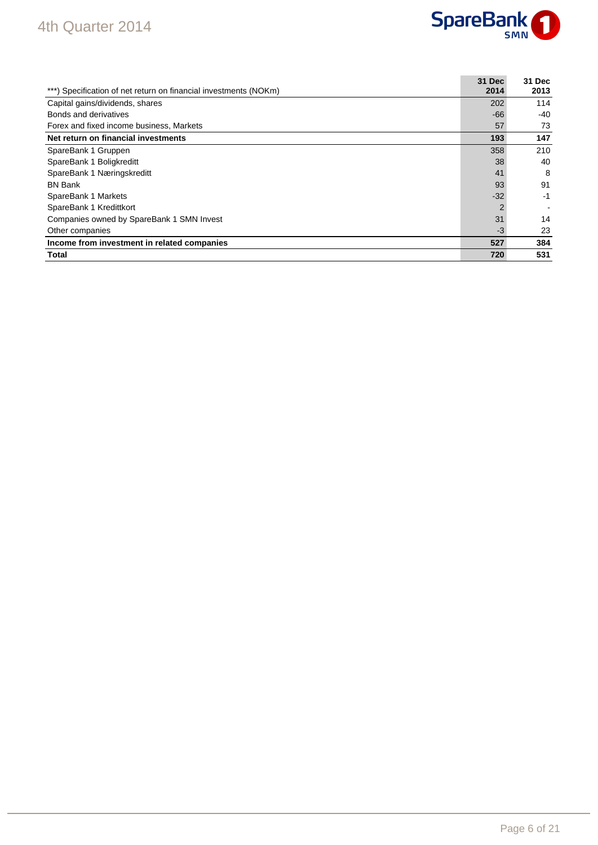## 4th Quarter 2014



| ***) Specification of net return on financial investments (NOKm) | 31 Dec<br>2014 | 31 Dec<br>2013 |
|------------------------------------------------------------------|----------------|----------------|
| Capital gains/dividends, shares                                  | 202            | 114            |
| Bonds and derivatives                                            | $-66$          | $-40$          |
| Forex and fixed income business, Markets                         | 57             | 73             |
| Net return on financial investments                              | 193            | 147            |
| SpareBank 1 Gruppen                                              | 358            | 210            |
| SpareBank 1 Boligkreditt                                         | 38             | 40             |
| SpareBank 1 Næringskreditt                                       | 41             | 8              |
| <b>BN Bank</b>                                                   | 93             | 91             |
| SpareBank 1 Markets                                              | $-32$          | -1             |
| SpareBank 1 Kredittkort                                          | $\overline{2}$ |                |
| Companies owned by SpareBank 1 SMN Invest                        | 31             | 14             |
| Other companies                                                  | $-3$           | 23             |
| Income from investment in related companies                      | 527            | 384            |
| Total                                                            | 720            | 531            |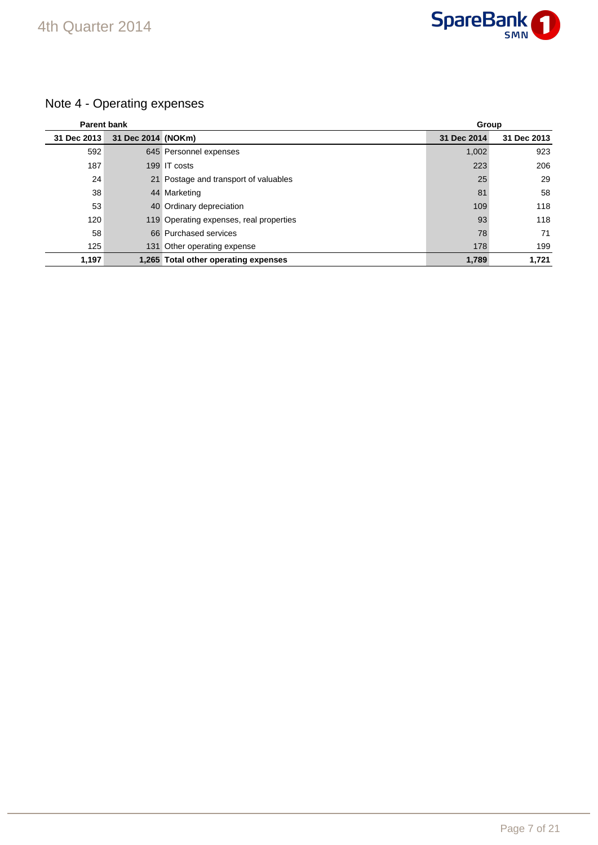

## Note 4 - Operating expenses

| <b>Parent bank</b> |                    |                                         | Group       |             |
|--------------------|--------------------|-----------------------------------------|-------------|-------------|
| 31 Dec 2013        | 31 Dec 2014 (NOKm) |                                         | 31 Dec 2014 | 31 Dec 2013 |
| 592                |                    | 645 Personnel expenses                  | 1,002       | 923         |
| 187                |                    | 199 IT costs                            | 223         | 206         |
| 24                 |                    | 21 Postage and transport of valuables   | 25          | 29          |
| 38                 |                    | 44 Marketing                            | 81          | 58          |
| 53                 |                    | 40 Ordinary depreciation                | 109         | 118         |
| 120                |                    | 119 Operating expenses, real properties | 93          | 118         |
| 58                 |                    | 66 Purchased services                   | 78          | 71          |
| 125                |                    | 131 Other operating expense             | 178         | 199         |
| 1,197              |                    | 1,265 Total other operating expenses    | 1,789       | 1.721       |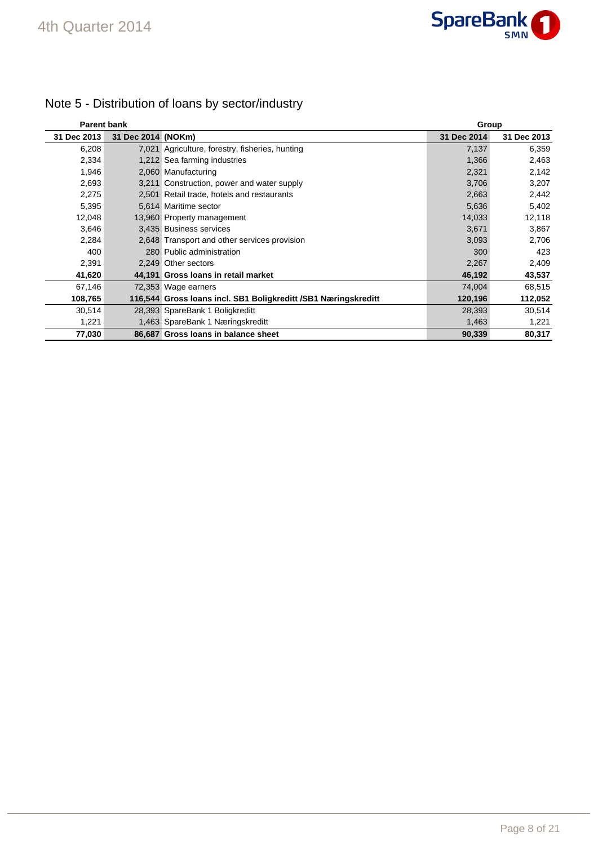

| <b>Parent bank</b> |                    |                                                                | Group       |             |
|--------------------|--------------------|----------------------------------------------------------------|-------------|-------------|
| 31 Dec 2013        | 31 Dec 2014 (NOKm) |                                                                | 31 Dec 2014 | 31 Dec 2013 |
| 6,208              |                    | 7,021 Agriculture, forestry, fisheries, hunting                | 7,137       | 6,359       |
| 2,334              |                    | 1,212 Sea farming industries                                   | 1,366       | 2,463       |
| 1,946              |                    | 2,060 Manufacturing                                            | 2,321       | 2,142       |
| 2,693              |                    | 3,211 Construction, power and water supply                     | 3,706       | 3,207       |
| 2,275              |                    | 2,501 Retail trade, hotels and restaurants                     | 2,663       | 2,442       |
| 5,395              |                    | 5,614 Maritime sector                                          | 5,636       | 5,402       |
| 12,048             |                    | 13,960 Property management                                     | 14,033      | 12,118      |
| 3,646              |                    | 3,435 Business services                                        | 3,671       | 3,867       |
| 2,284              |                    | 2,648 Transport and other services provision                   | 3,093       | 2,706       |
| 400                |                    | 280 Public administration                                      | 300         | 423         |
| 2,391              |                    | 2,249 Other sectors                                            | 2,267       | 2,409       |
| 41,620             |                    | 44,191 Gross Ioans in retail market                            | 46,192      | 43,537      |
| 67,146             |                    | 72,353 Wage earners                                            | 74,004      | 68,515      |
| 108,765            |                    | 116,544 Gross Ioans incl. SB1 Boligkreditt /SB1 Næringskreditt | 120,196     | 112,052     |
| 30,514             |                    | 28,393 SpareBank 1 Boligkreditt                                | 28,393      | 30,514      |
| 1,221              |                    | 1,463 SpareBank 1 Næringskreditt                               | 1,463       | 1,221       |
| 77,030             |                    | 86,687 Gross Ioans in balance sheet                            | 90,339      | 80,317      |

## Note 5 - Distribution of loans by sector/industry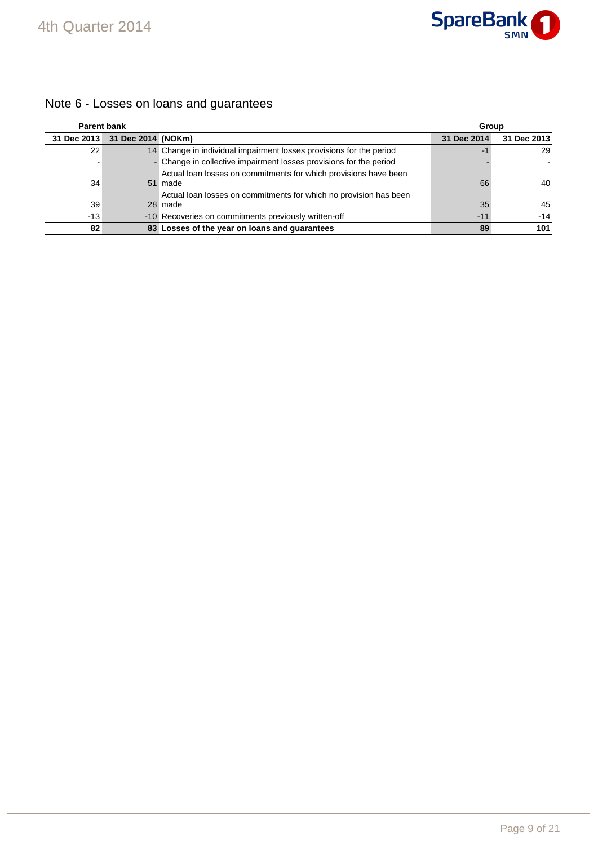

## Note 6 - Losses on loans and guarantees

| <b>Parent bank</b> |                    |                                                                     | Group       |             |  |
|--------------------|--------------------|---------------------------------------------------------------------|-------------|-------------|--|
| 31 Dec 2013        | 31 Dec 2014 (NOKm) |                                                                     | 31 Dec 2014 | 31 Dec 2013 |  |
| 22                 |                    | 14 Change in individual impairment losses provisions for the period | -1          | 29          |  |
|                    |                    | - Change in collective impairment losses provisions for the period  |             |             |  |
|                    |                    | Actual loan losses on commitments for which provisions have been    |             |             |  |
| 34                 |                    | 51 made                                                             | 66          | 40          |  |
|                    |                    | Actual loan losses on commitments for which no provision has been   |             |             |  |
| 39                 |                    | 28 made                                                             | 35          | 45          |  |
| $-13$              |                    | -10 Recoveries on commitments previously written-off                | $-11$       | $-14$       |  |
| 82                 |                    | 83 Losses of the year on loans and guarantees                       | 89          | 101         |  |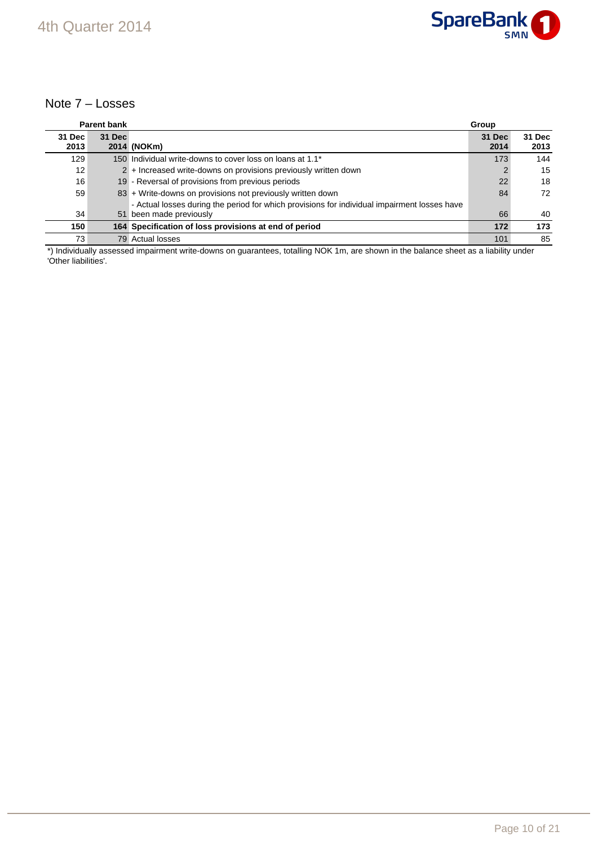

### Note 7 – Losses

|        | <b>Parent bank</b> |                                                                                              | Group  |        |
|--------|--------------------|----------------------------------------------------------------------------------------------|--------|--------|
| 31 Dec | 31 Dec             |                                                                                              | 31 Dec | 31 Dec |
| 2013   |                    | 2014 (NOKm)                                                                                  | 2014   | 2013   |
| 129    |                    | 150 Individual write-downs to cover loss on loans at 1.1 <sup>*</sup>                        | 173    | 144    |
| 12     |                    | 2 + Increased write-downs on provisions previously written down                              |        | 15     |
| 16     |                    | 19 - Reversal of provisions from previous periods                                            | 22     | 18     |
| 59     |                    | 83 + Write-downs on provisions not previously written down                                   | 84     | 72     |
|        |                    | - Actual losses during the period for which provisions for individual impairment losses have |        |        |
| 34     |                    | 51 been made previously                                                                      | 66     | 40     |
| 150    |                    | 164 Specification of loss provisions at end of period                                        | 172    | 173    |
| 73     |                    | 79 Actual losses                                                                             | 101    | 85     |

\*) Individually assessed impairment write-downs on guarantees, totalling NOK 1m, are shown in the balance sheet as a liability under 'Other liabilities'.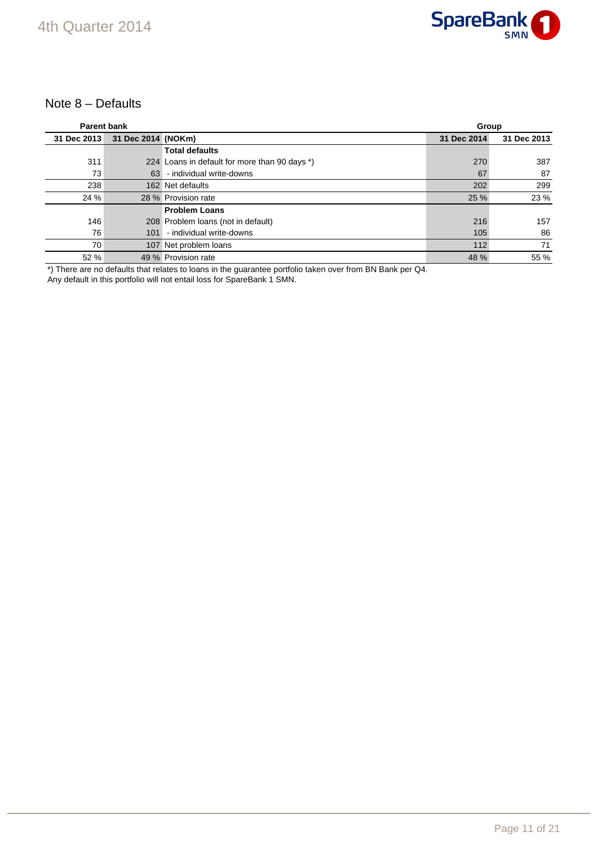

### Note 8 – Defaults

| <b>Parent bank</b> |                    |                                               | Group       |             |
|--------------------|--------------------|-----------------------------------------------|-------------|-------------|
| 31 Dec 2013        | 31 Dec 2014 (NOKm) |                                               | 31 Dec 2014 | 31 Dec 2013 |
|                    |                    | <b>Total defaults</b>                         |             |             |
| 311                |                    | 224 Loans in default for more than 90 days *) | 270         | 387         |
| 73                 | 63                 | - individual write-downs                      | 67          | 87          |
| 238                |                    | 162 Net defaults                              | 202         | 299         |
| 24 %               |                    | 28 % Provision rate                           | 25 %        | 23 %        |
|                    |                    | <b>Problem Loans</b>                          |             |             |
| 146                |                    | 208 Problem Ioans (not in default)            | 216         | 157         |
| 76                 | 101                | - individual write-downs                      | 105         | 86          |
| 70                 |                    | 107 Net problem loans                         | 112         | 71          |
| 52 %               |                    | 49 % Provision rate                           | 48 %        | 55 %        |

\*) There are no defaults that relates to loans in the guarantee portfolio taken over from BN Bank per Q4.

Any default in this portfolio will not entail loss for SpareBank 1 SMN.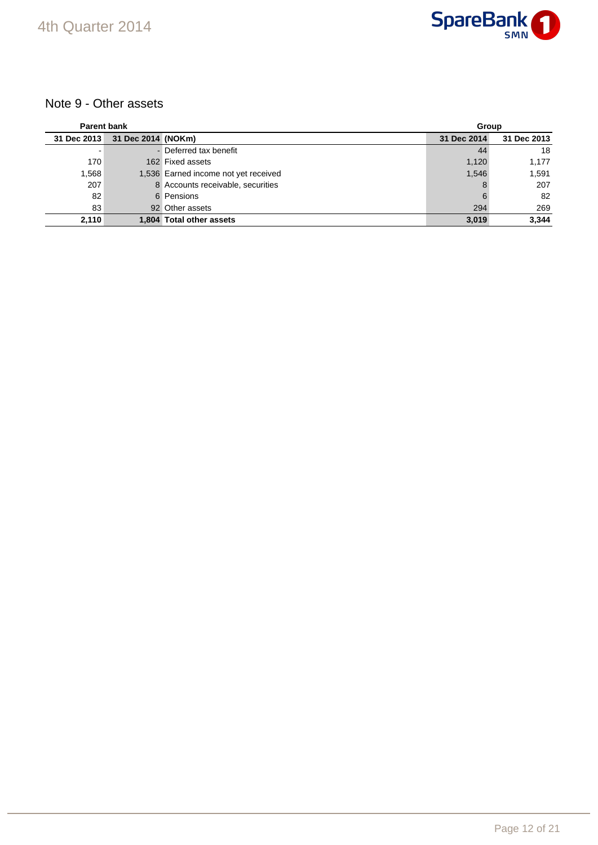

## Note 9 - Other assets

| <b>Parent bank</b> |                    |                                      | Group       |             |
|--------------------|--------------------|--------------------------------------|-------------|-------------|
| 31 Dec 2013        | 31 Dec 2014 (NOKm) |                                      | 31 Dec 2014 | 31 Dec 2013 |
|                    |                    | - Deferred tax benefit               | 44          | 18          |
| 170                |                    | 162 Fixed assets                     | 1,120       | 1,177       |
| 1,568              |                    | 1,536 Earned income not yet received | 1,546       | 1,591       |
| 207                |                    | 8 Accounts receivable, securities    | 8           | 207         |
| 82                 |                    | 6 Pensions                           |             | 82          |
| 83                 |                    | 92 Other assets                      | 294         | 269         |
| 2,110              |                    | 1,804 Total other assets             | 3.019       | 3.344       |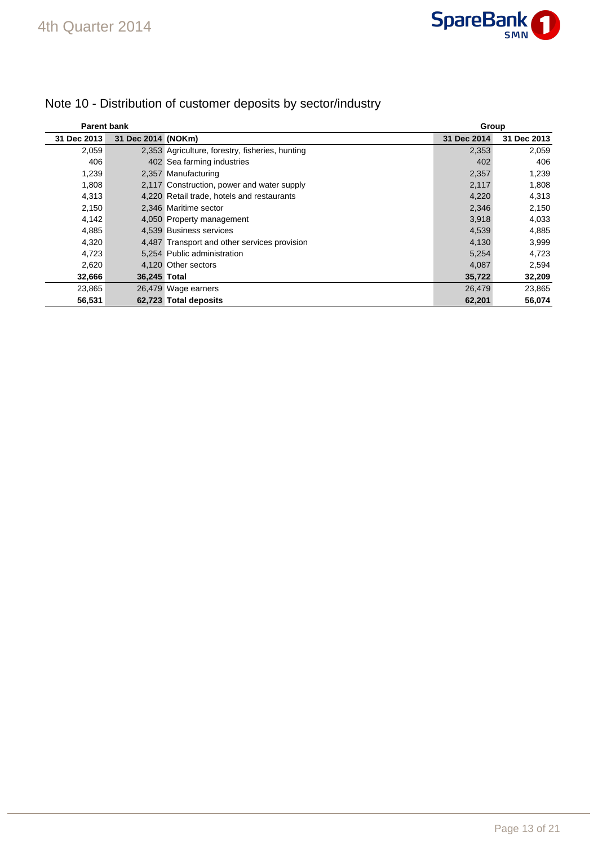

| <b>Parent bank</b> |                    |                                                 |             | Group       |  |
|--------------------|--------------------|-------------------------------------------------|-------------|-------------|--|
| 31 Dec 2013        | 31 Dec 2014 (NOKm) |                                                 | 31 Dec 2014 | 31 Dec 2013 |  |
| 2,059              |                    | 2,353 Agriculture, forestry, fisheries, hunting | 2,353       | 2,059       |  |
| 406                |                    | 402 Sea farming industries                      | 402         | 406         |  |
| 1,239              |                    | 2,357 Manufacturing                             | 2,357       | 1,239       |  |
| 1,808              |                    | 2,117 Construction, power and water supply      | 2,117       | 1,808       |  |
| 4,313              |                    | 4,220 Retail trade, hotels and restaurants      | 4,220       | 4,313       |  |
| 2,150              |                    | 2.346 Maritime sector                           | 2,346       | 2,150       |  |
| 4,142              |                    | 4,050 Property management                       | 3,918       | 4,033       |  |
| 4,885              |                    | 4.539 Business services                         | 4,539       | 4,885       |  |
| 4,320              |                    | 4,487 Transport and other services provision    | 4,130       | 3,999       |  |
| 4,723              |                    | 5,254 Public administration                     | 5,254       | 4,723       |  |
| 2,620              |                    | 4,120 Other sectors                             | 4,087       | 2,594       |  |
| 32,666             | 36,245 Total       |                                                 | 35,722      | 32,209      |  |
| 23,865             |                    | 26,479 Wage earners                             | 26,479      | 23,865      |  |
| 56,531             |                    | 62,723 Total deposits                           | 62,201      | 56,074      |  |

## Note 10 - Distribution of customer deposits by sector/industry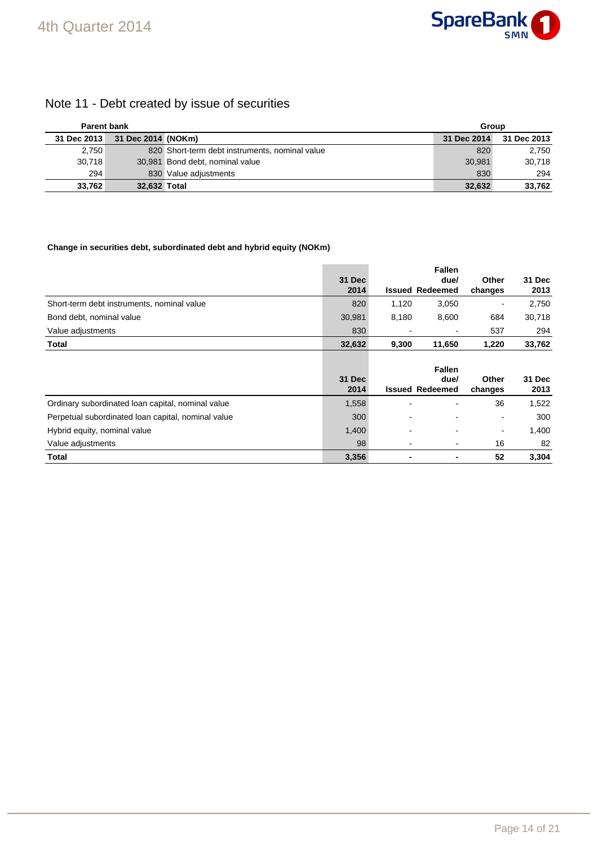

## Note 11 - Debt created by issue of securities

| <b>Parent bank</b> |                    |                                                | Group       |             |
|--------------------|--------------------|------------------------------------------------|-------------|-------------|
| 31 Dec 2013        | 31 Dec 2014 (NOKm) |                                                | 31 Dec 2014 | 31 Dec 2013 |
| 2,750              |                    | 820 Short-term debt instruments, nominal value | 820         | 2,750       |
| 30.718             |                    | 30,981 Bond debt, nominal value                | 30.981      | 30.718      |
| 294                |                    | 830 Value adjustments                          | 830         | 294         |
| 33.762             | 32,632 Total       |                                                | 32,632      | 33,762      |

### **Change in securities debt, subordinated debt and hybrid equity (NOKm)**

|                                                    | <b>31 Dec</b>         |       | <b>Fallen</b><br>due/                           | Other            | 31 Dec         |
|----------------------------------------------------|-----------------------|-------|-------------------------------------------------|------------------|----------------|
|                                                    | 2014                  |       | <b>Issued Redeemed</b>                          | changes          | 2013           |
| Short-term debt instruments, nominal value         | 820                   | 1,120 | 3,050                                           |                  | 2,750          |
| Bond debt, nominal value                           | 30,981                | 8,180 | 8,600                                           | 684              | 30,718         |
| Value adjustments                                  | 830                   |       |                                                 | 537              | 294            |
| Total                                              | 32,632                | 9,300 | 11,650                                          | 1,220            | 33,762         |
|                                                    | <b>31 Dec</b><br>2014 |       | <b>Fallen</b><br>due/<br><b>Issued Redeemed</b> | Other<br>changes | 31 Dec<br>2013 |
| Ordinary subordinated loan capital, nominal value  | 1,558                 |       |                                                 | 36               | 1,522          |
| Perpetual subordinated loan capital, nominal value | 300                   |       |                                                 | $\blacksquare$   | 300            |
| Hybrid equity, nominal value                       | 1,400                 |       |                                                 | $\blacksquare$   | 1,400          |
| Value adjustments                                  | 98                    |       |                                                 | 16               | 82             |
| <b>Total</b>                                       | 3,356                 |       | ٠                                               | 52               | 3,304          |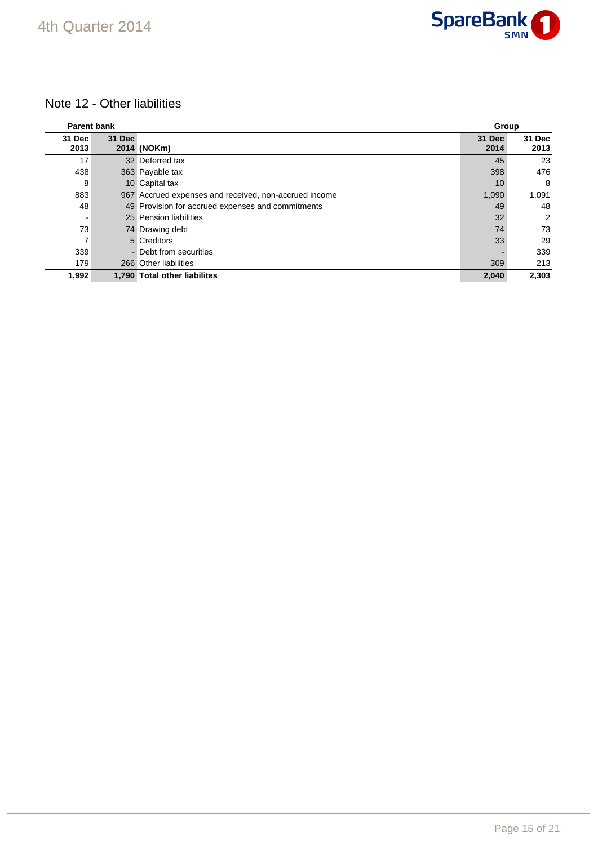## Note 12 - Other liabilities

| <b>Parent bank</b> |        |                                                       | Group          |                |
|--------------------|--------|-------------------------------------------------------|----------------|----------------|
| 31 Dec<br>2013     | 31 Dec | 2014 (NOKm)                                           | 31 Dec<br>2014 | 31 Dec<br>2013 |
| 17                 |        | 32 Deferred tax                                       | 45             | 23             |
| 438                |        | 363 Payable tax                                       | 398            | 476            |
| 8                  |        | 10 Capital tax                                        | 10             | 8              |
| 883                |        | 967 Accrued expenses and received, non-accrued income | 1,090          | 1,091          |
| 48                 |        | 49 Provision for accrued expenses and commitments     | 49             | 48             |
|                    |        | 25 Pension liabilities                                | 32             | 2              |
| 73                 |        | 74 Drawing debt                                       | 74             | 73             |
| 7                  |        | 5 Creditors                                           | 33             | 29             |
| 339                |        | - Debt from securities                                |                | 339            |
| 179                |        | 266 Other liabilities                                 | 309            | 213            |
| 1,992              |        | 1.790 Total other liabilites                          | 2.040          | 2.303          |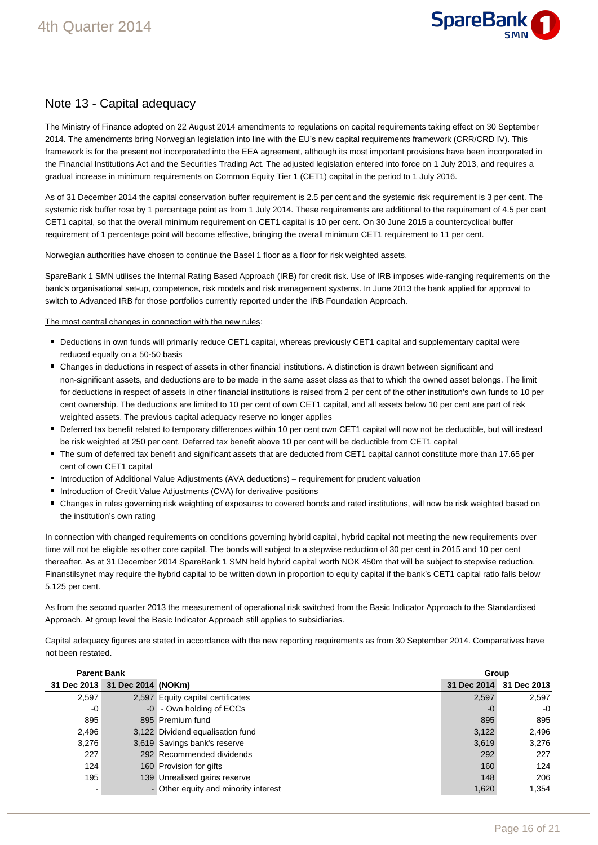

### Note 13 - Capital adequacy

The Ministry of Finance adopted on 22 August 2014 amendments to regulations on capital requirements taking effect on 30 September 2014. The amendments bring Norwegian legislation into line with the EU's new capital requirements framework (CRR/CRD IV). This framework is for the present not incorporated into the EEA agreement, although its most important provisions have been incorporated in the Financial Institutions Act and the Securities Trading Act. The adjusted legislation entered into force on 1 July 2013, and requires a gradual increase in minimum requirements on Common Equity Tier 1 (CET1) capital in the period to 1 July 2016.

As of 31 December 2014 the capital conservation buffer requirement is 2.5 per cent and the systemic risk requirement is 3 per cent. The systemic risk buffer rose by 1 percentage point as from 1 July 2014. These requirements are additional to the requirement of 4.5 per cent CET1 capital, so that the overall minimum requirement on CET1 capital is 10 per cent. On 30 June 2015 a countercyclical buffer requirement of 1 percentage point will become effective, bringing the overall minimum CET1 requirement to 11 per cent.

Norwegian authorities have chosen to continue the Basel 1 floor as a floor for risk weighted assets.

SpareBank 1 SMN utilises the Internal Rating Based Approach (IRB) for credit risk. Use of IRB imposes wide-ranging requirements on the bank's organisational set-up, competence, risk models and risk management systems. In June 2013 the bank applied for approval to switch to Advanced IRB for those portfolios currently reported under the IRB Foundation Approach.

The most central changes in connection with the new rules:

- Deductions in own funds will primarily reduce CET1 capital, whereas previously CET1 capital and supplementary capital were reduced equally on a 50-50 basis
- Changes in deductions in respect of assets in other financial institutions. A distinction is drawn between significant and non-significant assets, and deductions are to be made in the same asset class as that to which the owned asset belongs. The limit for deductions in respect of assets in other financial institutions is raised from 2 per cent of the other institution's own funds to 10 per cent ownership. The deductions are limited to 10 per cent of own CET1 capital, and all assets below 10 per cent are part of risk weighted assets. The previous capital adequacy reserve no longer applies
- Deferred tax benefit related to temporary differences within 10 per cent own CET1 capital will now not be deductible, but will instead be risk weighted at 250 per cent. Deferred tax benefit above 10 per cent will be deductible from CET1 capital
- The sum of deferred tax benefit and significant assets that are deducted from CET1 capital cannot constitute more than 17.65 per cent of own CET1 capital
- Introduction of Additional Value Adjustments (AVA deductions) requirement for prudent valuation
- Introduction of Credit Value Adjustments (CVA) for derivative positions
- Changes in rules governing risk weighting of exposures to covered bonds and rated institutions, will now be risk weighted based on the institution's own rating

In connection with changed requirements on conditions governing hybrid capital, hybrid capital not meeting the new requirements over time will not be eligible as other core capital. The bonds will subject to a stepwise reduction of 30 per cent in 2015 and 10 per cent thereafter. As at 31 December 2014 SpareBank 1 SMN held hybrid capital worth NOK 450m that will be subject to stepwise reduction. Finanstilsynet may require the hybrid capital to be written down in proportion to equity capital if the bank's CET1 capital ratio falls below 5.125 per cent.

As from the second quarter 2013 the measurement of operational risk switched from the Basic Indicator Approach to the Standardised Approach. At group level the Basic Indicator Approach still applies to subsidiaries.

Capital adequacy figures are stated in accordance with the new reporting requirements as from 30 September 2014. Comparatives have not been restated.

| <b>Parent Bank</b> |                    |                                      | Group       |             |  |
|--------------------|--------------------|--------------------------------------|-------------|-------------|--|
| 31 Dec 2013        | 31 Dec 2014 (NOKm) |                                      | 31 Dec 2014 | 31 Dec 2013 |  |
| 2,597              |                    | 2,597 Equity capital certificates    | 2,597       | 2,597       |  |
| $-0$               |                    | -0 - Own holding of ECCs             | $-0$        | $-0$        |  |
| 895                |                    | 895 Premium fund                     | 895         | 895         |  |
| 2,496              |                    | 3,122 Dividend equalisation fund     | 3,122       | 2,496       |  |
| 3,276              |                    | 3,619 Savings bank's reserve         | 3,619       | 3,276       |  |
| 227                |                    | 292 Recommended dividends            | 292         | 227         |  |
| 124                |                    | 160 Provision for gifts              | 160         | 124         |  |
| 195                |                    | 139 Unrealised gains reserve         | 148         | 206         |  |
|                    |                    | - Other equity and minority interest | 1,620       | 1,354       |  |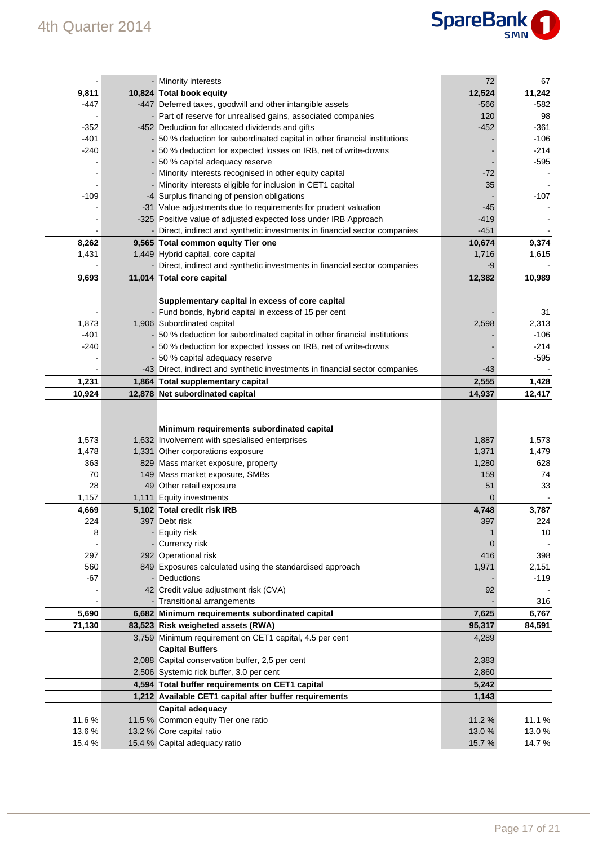

|        | - Minority interests                                                         | 72     | 67     |
|--------|------------------------------------------------------------------------------|--------|--------|
| 9,811  | 10,824 Total book equity                                                     | 12,524 | 11,242 |
| -447   | -447 Deferred taxes, goodwill and other intangible assets                    | $-566$ | $-582$ |
|        | - Part of reserve for unrealised gains, associated companies                 | 120    | 98     |
| $-352$ | -452 Deduction for allocated dividends and gifts                             | $-452$ | $-361$ |
| $-401$ | 50 % deduction for subordinated capital in other financial institutions      |        | $-106$ |
| $-240$ | - 50 % deduction for expected losses on IRB, net of write-downs              |        | $-214$ |
|        | - 50 % capital adequacy reserve                                              |        | $-595$ |
|        | - Minority interests recognised in other equity capital                      | $-72$  |        |
|        | Minority interests eligible for inclusion in CET1 capital                    | 35     |        |
| $-109$ | -4 Surplus financing of pension obligations                                  |        | $-107$ |
|        | -31 Value adjustments due to requirements for prudent valuation              | -45    |        |
|        | -325 Positive value of adjusted expected loss under IRB Approach             | $-419$ |        |
|        | - Direct, indirect and synthetic investments in financial sector companies   | $-451$ |        |
| 8,262  | 9,565 Total common equity Tier one                                           | 10,674 | 9,374  |
| 1,431  | 1,449 Hybrid capital, core capital                                           | 1,716  | 1,615  |
|        | Direct, indirect and synthetic investments in financial sector companies     | -9     |        |
| 9,693  | 11,014 Total core capital                                                    | 12,382 | 10,989 |
|        |                                                                              |        |        |
|        | Supplementary capital in excess of core capital                              |        |        |
|        | - Fund bonds, hybrid capital in excess of 15 per cent                        |        | 31     |
| 1,873  | 1,906 Subordinated capital                                                   | 2,598  | 2,313  |
| $-401$ | - 50 % deduction for subordinated capital in other financial institutions    |        | $-106$ |
| $-240$ | - 50 % deduction for expected losses on IRB, net of write-downs              |        | $-214$ |
|        | 50 % capital adequacy reserve                                                |        | $-595$ |
|        | -43 Direct, indirect and synthetic investments in financial sector companies | $-43$  |        |
| 1,231  | 1,864 Total supplementary capital                                            | 2,555  | 1,428  |
| 10,924 | 12,878 Net subordinated capital                                              | 14,937 | 12,417 |
|        |                                                                              |        |        |
|        |                                                                              |        |        |
|        |                                                                              |        |        |
|        | Minimum requirements subordinated capital                                    |        |        |
| 1,573  | 1,632 Involvement with spesialised enterprises                               | 1,887  | 1,573  |
| 1,478  | 1,331 Other corporations exposure                                            | 1,371  | 1,479  |
| 363    | 829 Mass market exposure, property                                           | 1,280  | 628    |
| 70     | 149 Mass market exposure, SMBs                                               | 159    | 74     |
| 28     | 49 Other retail exposure                                                     | 51     | 33     |
| 1,157  | 1,111 Equity investments                                                     | 0      |        |
| 4,669  | 5,102 Total credit risk IRB                                                  | 4,748  | 3,787  |
| 224    | 397 Debt risk                                                                | 397    | 224    |
| 8      | <b>Equity risk</b>                                                           |        | 10     |
|        | Currency risk                                                                | 0      |        |
| 297    | 292 Operational risk                                                         | 416    | 398    |
| 560    | 849 Exposures calculated using the standardised approach                     | 1,971  | 2,151  |
| $-67$  | Deductions                                                                   |        | $-119$ |
|        | 42 Credit value adjustment risk (CVA)                                        | 92     |        |
|        | - Transitional arrangements                                                  |        | 316    |
| 5,690  | 6,682 Minimum requirements subordinated capital                              | 7,625  | 6,767  |
| 71,130 | 83,523 Risk weigheted assets (RWA)                                           | 95,317 | 84,591 |
|        | 3,759 Minimum requirement on CET1 capital, 4.5 per cent                      | 4,289  |        |
|        | <b>Capital Buffers</b>                                                       |        |        |
|        | 2,088 Capital conservation buffer, 2,5 per cent                              | 2,383  |        |
|        | 2,506 Systemic rick buffer, 3.0 per cent                                     | 2,860  |        |
|        | 4,594 Total buffer requirements on CET1 capital                              | 5,242  |        |
|        | 1,212 Available CET1 capital after buffer requirements                       | 1,143  |        |
|        |                                                                              |        |        |
| 11.6%  | <b>Capital adequacy</b>                                                      | 11.2 % | 11.1 % |
| 13.6%  | 11.5 % Common equity Tier one ratio<br>13.2 % Core capital ratio             | 13.0 % | 13.0%  |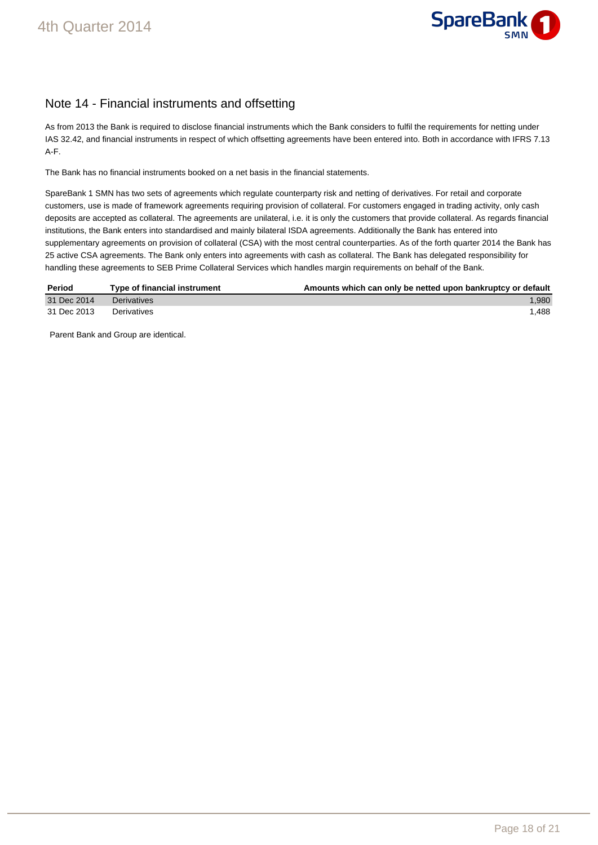

## Note 14 - Financial instruments and offsetting

As from 2013 the Bank is required to disclose financial instruments which the Bank considers to fulfil the requirements for netting under IAS 32.42, and financial instruments in respect of which offsetting agreements have been entered into. Both in accordance with IFRS 7.13 A-F.

The Bank has no financial instruments booked on a net basis in the financial statements.

SpareBank 1 SMN has two sets of agreements which regulate counterparty risk and netting of derivatives. For retail and corporate customers, use is made of framework agreements requiring provision of collateral. For customers engaged in trading activity, only cash deposits are accepted as collateral. The agreements are unilateral, i.e. it is only the customers that provide collateral. As regards financial institutions, the Bank enters into standardised and mainly bilateral ISDA agreements. Additionally the Bank has entered into supplementary agreements on provision of collateral (CSA) with the most central counterparties. As of the forth quarter 2014 the Bank has 25 active CSA agreements. The Bank only enters into agreements with cash as collateral. The Bank has delegated responsibility for handling these agreements to SEB Prime Collateral Services which handles margin requirements on behalf of the Bank.

| Period      | Type of financial instrument | Amounts which can only be netted upon bankruptcy or default |
|-------------|------------------------------|-------------------------------------------------------------|
| 31 Dec 2014 | Derivatives                  | 1.980                                                       |
| 31 Dec 2013 | Derivatives                  | 1.488                                                       |

Parent Bank and Group are identical.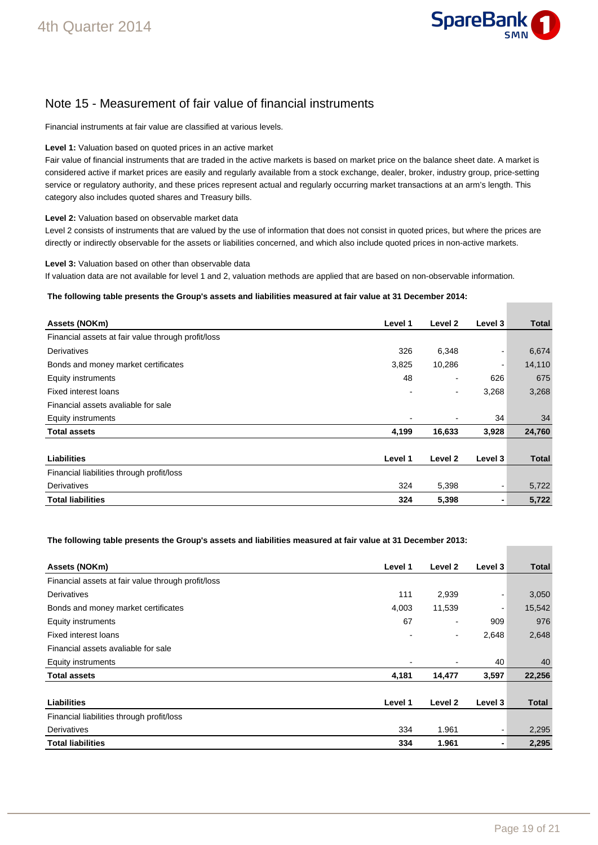

## Note 15 - Measurement of fair value of financial instruments

Financial instruments at fair value are classified at various levels.

#### **Level 1:** Valuation based on quoted prices in an active market

Fair value of financial instruments that are traded in the active markets is based on market price on the balance sheet date. A market is considered active if market prices are easily and regularly available from a stock exchange, dealer, broker, industry group, price-setting service or regulatory authority, and these prices represent actual and regularly occurring market transactions at an arm's length. This category also includes quoted shares and Treasury bills.

#### **Level 2:** Valuation based on observable market data

Level 2 consists of instruments that are valued by the use of information that does not consist in quoted prices, but where the prices are directly or indirectly observable for the assets or liabilities concerned, and which also include quoted prices in non-active markets.

**Level 3:** Valuation based on other than observable data

If valuation data are not available for level 1 and 2, valuation methods are applied that are based on non-observable information.

#### **The following table presents the Group's assets and liabilities measured at fair value at 31 December 2014:**

| Assets (NOKm)                                      | Level 1 | Level 2 | Level 3 | <b>Total</b> |
|----------------------------------------------------|---------|---------|---------|--------------|
| Financial assets at fair value through profit/loss |         |         |         |              |
| Derivatives                                        | 326     | 6,348   |         | 6,674        |
| Bonds and money market certificates                | 3,825   | 10,286  |         | 14,110       |
| Equity instruments                                 | 48      | ٠       | 626     | 675          |
| Fixed interest loans                               |         | ۰       | 3,268   | 3,268        |
| Financial assets avaliable for sale                |         |         |         |              |
| Equity instruments                                 |         |         | 34      | 34           |
| <b>Total assets</b>                                | 4,199   | 16,633  | 3,928   | 24,760       |
|                                                    |         |         |         |              |
| Liabilities                                        | Level 1 | Level 2 | Level 3 | <b>Total</b> |
| Financial liabilities through profit/loss          |         |         |         |              |
| Derivatives                                        | 324     | 5,398   |         | 5,722        |
| <b>Total liabilities</b>                           | 324     | 5,398   |         | 5,722        |

#### **The following table presents the Group's assets and liabilities measured at fair value at 31 December 2013:**

| Assets (NOKm)                                      | Level 1 | Level 2                  | Level 3 | <b>Total</b> |
|----------------------------------------------------|---------|--------------------------|---------|--------------|
| Financial assets at fair value through profit/loss |         |                          |         |              |
| Derivatives                                        | 111     | 2,939                    |         | 3,050        |
| Bonds and money market certificates                | 4,003   | 11,539                   |         | 15,542       |
| Equity instruments                                 | 67      |                          | 909     | 976          |
| <b>Fixed interest loans</b>                        |         | $\overline{\phantom{0}}$ | 2,648   | 2,648        |
| Financial assets avaliable for sale                |         |                          |         |              |
| Equity instruments                                 |         |                          | 40      | 40           |
| <b>Total assets</b>                                | 4,181   | 14,477                   | 3,597   | 22,256       |
|                                                    |         |                          |         |              |
| <b>Liabilities</b>                                 | Level 1 | Level 2                  | Level 3 | <b>Total</b> |
| Financial liabilities through profit/loss          |         |                          |         |              |
| Derivatives                                        | 334     | 1.961                    |         | 2,295        |
| <b>Total liabilities</b>                           | 334     | 1.961                    | ۰.      | 2,295        |

**Contract Contract**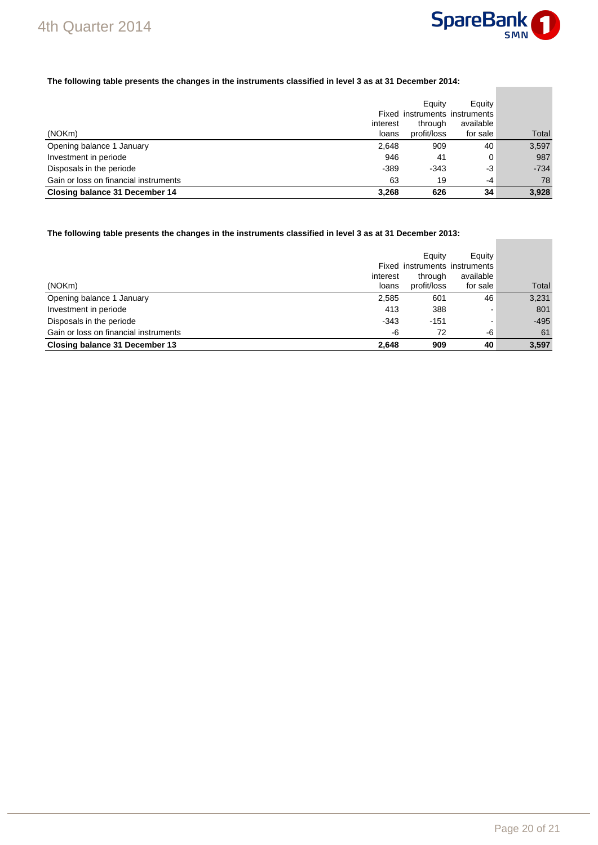

**Contract Contract** 

۰

### **The following table presents the changes in the instruments classified in level 3 as at 31 December 2014:**

|                                       |          | Equity      | Equity                        |        |
|---------------------------------------|----------|-------------|-------------------------------|--------|
|                                       |          |             | Fixed instruments instruments |        |
|                                       | interest | through     | available                     |        |
| (NOKm)                                | loans    | profit/loss | for sale                      | Total  |
| Opening balance 1 January             | 2.648    | 909         | 40                            | 3,597  |
| Investment in periode                 | 946      | 41          | 0                             | 987    |
| Disposals in the periode              | $-389$   | $-343$      | -3                            | $-734$ |
| Gain or loss on financial instruments | 63       | 19          | $-4$                          | 78     |
| Closing balance 31 December 14        | 3.268    | 626         | 34                            | 3,928  |

**The following table presents the changes in the instruments classified in level 3 as at 31 December 2013:** 

|                                       | interest | Equity<br>through | Equity<br>Fixed instruments instruments<br>available |        |
|---------------------------------------|----------|-------------------|------------------------------------------------------|--------|
| (NOKm)                                | loans    | profit/loss       | for sale                                             | Total  |
| Opening balance 1 January             | 2,585    | 601               | 46                                                   | 3,231  |
| Investment in periode                 | 413      | 388               | -                                                    | 801    |
| Disposals in the periode              | $-343$   | $-151$            | -                                                    | $-495$ |
| Gain or loss on financial instruments | -6       | 72                | -6                                                   | 61     |
| Closing balance 31 December 13        | 2.648    | 909               | 40                                                   | 3,597  |